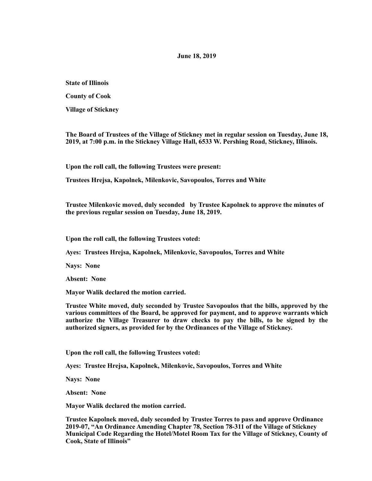## **June 18, 2019**

**State of Illinois** 

**County of Cook** 

**Village of Stickney** 

**The Board of Trustees of the Village of Stickney met in regular session on Tuesday, June 18, 2019, at 7:00 p.m. in the Stickney Village Hall, 6533 W. Pershing Road, Stickney, Illinois.** 

**Upon the roll call, the following Trustees were present:** 

**Trustees Hrejsa, Kapolnek, Milenkovic, Savopoulos, Torres and White** 

**Trustee Milenkovic moved, duly seconded by Trustee Kapolnek to approve the minutes of the previous regular session on Tuesday, June 18, 2019.** 

**Upon the roll call, the following Trustees voted:** 

**Ayes: Trustees Hrejsa, Kapolnek, Milenkovic, Savopoulos, Torres and White** 

**Nays: None** 

**Absent: None** 

**Mayor Walik declared the motion carried.** 

**Trustee White moved, duly seconded by Trustee Savopoulos that the bills, approved by the various committees of the Board, be approved for payment, and to approve warrants which authorize the Village Treasurer to draw checks to pay the bills, to be signed by the authorized signers, as provided for by the Ordinances of the Village of Stickney.** 

**Upon the roll call, the following Trustees voted:** 

**Ayes: Trustee Hrejsa, Kapolnek, Milenkovic, Savopoulos, Torres and White** 

**Nays: None** 

**Absent: None** 

**Mayor Walik declared the motion carried.** 

**Trustee Kapolnek moved, duly seconded by Trustee Torres to pass and approve Ordinance 2019-07, "An Ordinance Amending Chapter 78, Section 78-311 of the Village of Stickney Municipal Code Regarding the Hotel/Motel Room Tax for the Village of Stickney, County of Cook, State of Illinois"**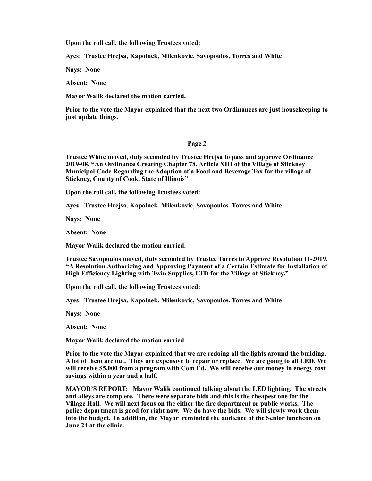**Upon the roll call, the following Trustees voted:** 

**Ayes: Trustee Hrejsa, Kapolnek, Milenkovic, Savopoulos, Torres and White** 

**Nays: None** 

**Absent: None** 

**Mayor Walik declared the motion carried.** 

**Prior to the vote the Mayor explained that the next two Ordinances are just housekeeping to just update things.** 

## **Page 2**

**Trustee White moved, duly seconded by Trustee Hrejsa to pass and approve Ordinance 2019-08, "An Ordinance Creating Chapter 78, Article XIII of the Village of Stickney Municipal Code Regarding the Adoption of a Food and Beverage Tax for the village of Stickney, County of Cook, State of Illinois"** 

**Upon the roll call, the following Trustees voted:** 

**Ayes: Trustee Hrejsa, Kapolnek, Milenkovic, Savopoulos, Torres and White** 

**Nays: None** 

**Absent: None** 

**Mayor Walik declared the motion carried.** 

**Trustee Savopoulos moved, duly seconded by Trustee Torres to Approve Resolution 11-2019, "A Resolution Authorizing and Approving Payment of a Certain Estimate for Installation of High Efficiency Lighting with Twin Supplies, LTD for the Village of Stickney."** 

**Upon the roll call, the following Trustees voted:** 

**Ayes: Trustee Hrejsa, Kapolnek, Milenkovic, Savopoulos, Torres and White** 

**Nays: None** 

**Absent: None** 

**Mayor Walik declared the motion carried.** 

**Prior to the vote the Mayor explained that we are redoing all the lights around the building. A lot of them are out. They are expensive to repair or replace. We are going to all LED. We will receive \$5,000 from a program with Com Ed. We will receive our money in energy cost savings within a year and a half.** 

**MAYOR'S REPORT: Mayor Walik continued talking about the LED lighting. The streets and alleys are complete. There were separate bids and this is the cheapest one for the Village Hall. We will next focus on the either the fire department or public works. The police department is good for right now. We do have the bids. We will slowly work them into the budget. In addition, the Mayor reminded the audience of the Senior luncheon on June 24 at the clinic.**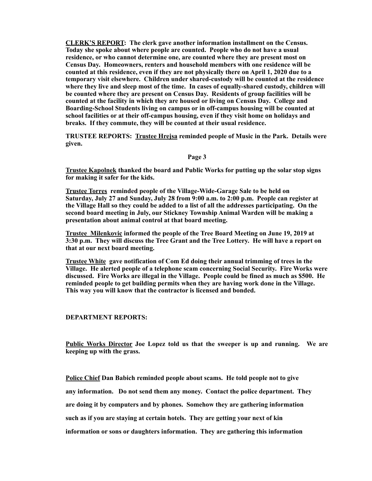**CLERK'S REPORT: The clerk gave another information installment on the Census. Today she spoke about where people are counted. People who do not have a usual residence, or who cannot determine one, are counted where they are present most on Census Day. Homeowners, renters and household members with one residence will be counted at this residence, even if they are not physically there on April 1, 2020 due to a temporary visit elsewhere. Children under shared-custody will be counted at the residence where they live and sleep most of the time. In cases of equally-shared custody, children will be counted where they are present on Census Day. Residents of group facilities will be counted at the facility in which they are housed or living on Census Day. College and Boarding-School Students living on campus or in off-campus housing will be counted at school facilities or at their off-campus housing, even if they visit home on holidays and breaks. If they commute, they will be counted at their usual residence.** 

**TRUSTEE REPORTS: Trustee Hrejsa reminded people of Music in the Park. Details were given.** 

## **Page 3**

**Trustee Kapolnek thanked the board and Public Works for putting up the solar stop signs for making it safer for the kids.** 

**Trustee Torres reminded people of the Village-Wide-Garage Sale to be held on Saturday, July 27 and Sunday, July 28 from 9:00 a.m. to 2:00 p.m. People can register at the Village Hall so they could be added to a list of all the addresses participating. On the second board meeting in July, our Stickney Township Animal Warden will be making a presentation about animal control at that board meeting.** 

**Trustee Milenkovic informed the people of the Tree Board Meeting on June 19, 2019 at 3:30 p.m. They will discuss the Tree Grant and the Tree Lottery. He will have a report on that at our next board meeting.** 

**Trustee White gave notification of Com Ed doing their annual trimming of trees in the Village. He alerted people of a telephone scam concerning Social Security. Fire Works were discussed. Fire Works are illegal in the Village. People could be fined as much as \$500. He reminded people to get building permits when they are having work done in the Village. This way you will know that the contractor is licensed and bonded.** 

## **DEPARTMENT REPORTS:**

**Public Works Director Joe Lopez told us that the sweeper is up and running. We are keeping up with the grass.** 

**Police Chief Dan Babich reminded people about scams. He told people not to give any information. Do not send them any money. Contact the police department. They are doing it by computers and by phones. Somehow they are gathering information such as if you are staying at certain hotels. They are getting your next of kin information or sons or daughters information. They are gathering this information**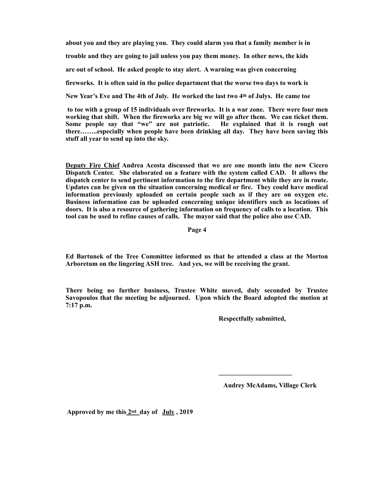**about you and they are playing you. They could alarm you that a family member is in trouble and they are going to jail unless you pay them money. In other news, the kids are out of school. He asked people to stay alert. A warning was given concerning fireworks. It is often said in the police department that the worse two days to work is New Year's Eve and The 4th of July. He worked the last two 4th of Julys. He came toe** 

 **to toe with a group of 15 individuals over fireworks. It is a war zone. There were four men working that shift. When the fireworks are big we will go after them. We can ticket them. Some people say that "we" are not patriotic. He explained that it is rough out there……..especially when people have been drinking all day. They have been saving this stuff all year to send up into the sky.** 

**Deputy Fire Chief Andrea Acosta discussed that we are one month into the new Cicero Dispatch Center. She elaborated on a feature with the system called CAD. It allows the dispatch center to send pertinent information to the fire department while they are in route. Updates can be given on the situation concerning medical or fire. They could have medical information previously uploaded on certain people such as if they are on oxygen etc. Business information can be uploaded concerning unique identifiers such as locations of doors. It is also a resource of gathering information on frequency of calls to a location. This tool can be used to refine causes of calls. The mayor said that the police also use CAD.** 

**Page 4** 

**Ed Bartunek of the Tree Committee informed us that he attended a class at the Morton Arboretum on the lingering ASH tree. And yes, we will be receiving the grant.** 

**There being no further business, Trustee White moved, duly seconded by Trustee Savopoulos that the meeting be adjourned. Upon which the Board adopted the motion at 7:17 p.m.** 

 $\mathcal{L} = \{ \mathcal{L} \mid \mathcal{L} \in \mathcal{L} \}$  , where  $\mathcal{L} = \{ \mathcal{L} \mid \mathcal{L} \in \mathcal{L} \}$  , where  $\mathcal{L} = \{ \mathcal{L} \mid \mathcal{L} \in \mathcal{L} \}$ 

 **Respectfully submitted,** 

 **Audrey McAdams, Village Clerk** 

 **Approved by me this 2nd day of July , 2019**